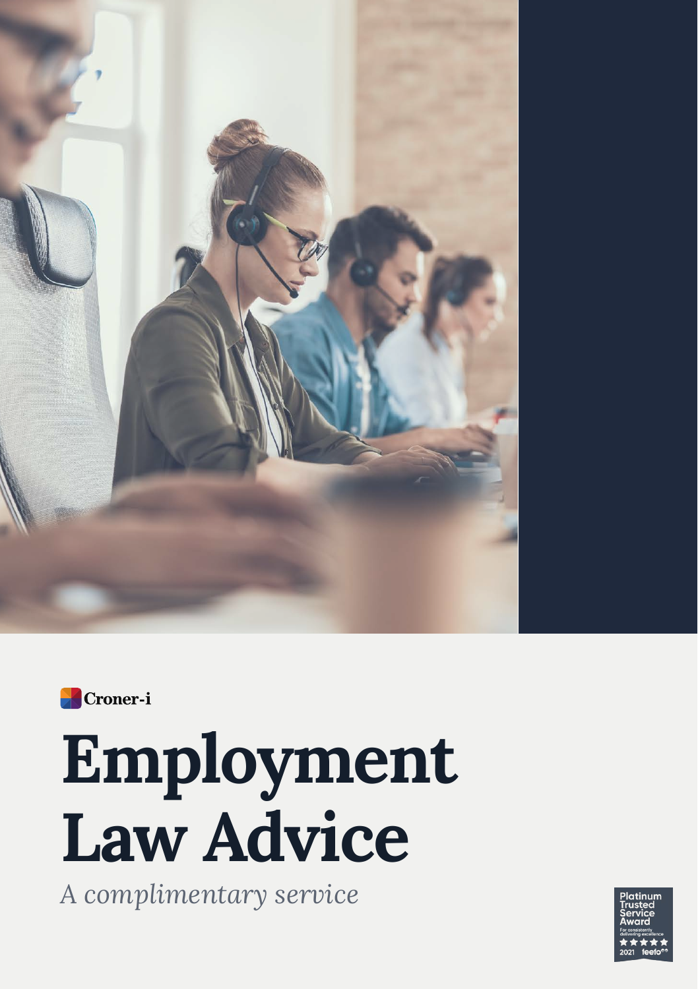



# **Employment Law Advice**

*A complimentary service*